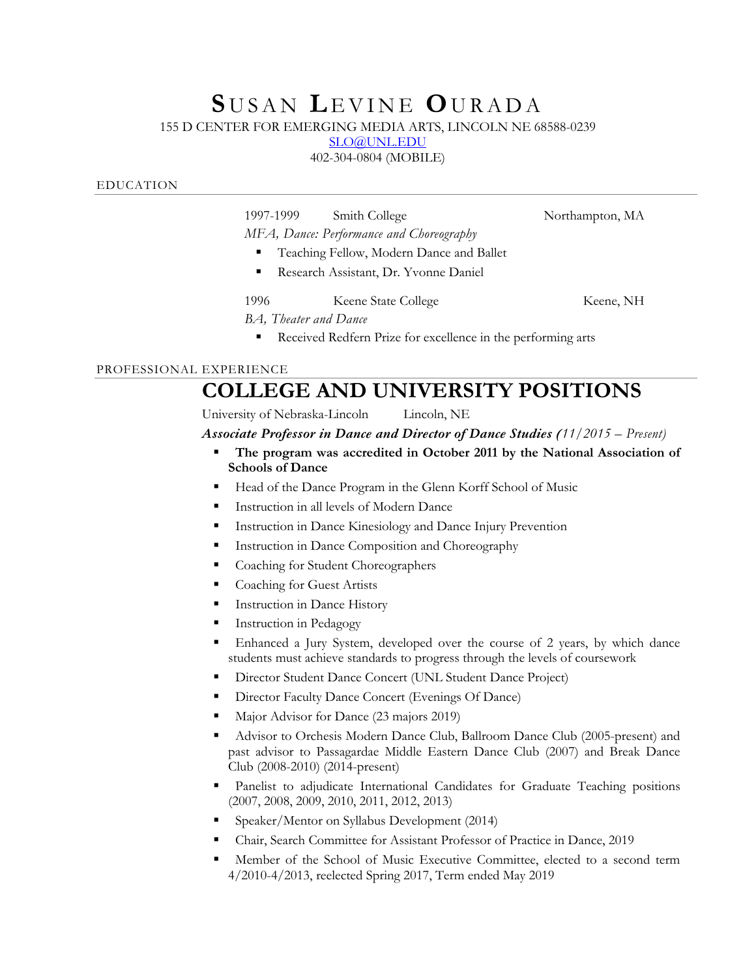# **S** USAN **L** EVINE **O**URADA

155 D CENTER FOR EMERGING MEDIA ARTS, LINCOLN NE 68588-0239

SLO@UNL.EDU

402-304-0804 (MOBILE)

#### EDUCATION

1997-1999 Smith College Northampton, MA

*MFA, Dance: Performance and Choreography*

- § Teaching Fellow, Modern Dance and Ballet
- Research Assistant, Dr. Yvonne Daniel

1996 Keene State College Keene, NH *BA, Theater and Dance*

■ Received Redfern Prize for excellence in the performing arts

# PROFESSIONAL EXPERIENCE

# **COLLEGE AND UNIVERSITY POSITIONS**

University of Nebraska-Lincoln Lincoln, NE

*Associate Professor in Dance and Director of Dance Studies (11/2015 – Present)* 

- § **The program was accredited in October 2011 by the National Association of Schools of Dance**
- Head of the Dance Program in the Glenn Korff School of Music
- Instruction in all levels of Modern Dance
- Instruction in Dance Kinesiology and Dance Injury Prevention
- **•** Instruction in Dance Composition and Choreography
- Coaching for Student Choreographers
- Coaching for Guest Artists
- Instruction in Dance History
- Instruction in Pedagogy
- § Enhanced a Jury System, developed over the course of 2 years, by which dance students must achieve standards to progress through the levels of coursework
- Director Student Dance Concert (UNL Student Dance Project)
- Director Faculty Dance Concert (Evenings Of Dance)
- § Major Advisor for Dance (23 majors 2019)
- § Advisor to Orchesis Modern Dance Club, Ballroom Dance Club (2005-present) and past advisor to Passagardae Middle Eastern Dance Club (2007) and Break Dance Club (2008-2010) (2014-present)
- Panelist to adjudicate International Candidates for Graduate Teaching positions (2007, 2008, 2009, 2010, 2011, 2012, 2013)
- § Speaker/Mentor on Syllabus Development (2014)
- § Chair, Search Committee for Assistant Professor of Practice in Dance, 2019
- § Member of the School of Music Executive Committee, elected to a second term 4/2010-4/2013, reelected Spring 2017, Term ended May 2019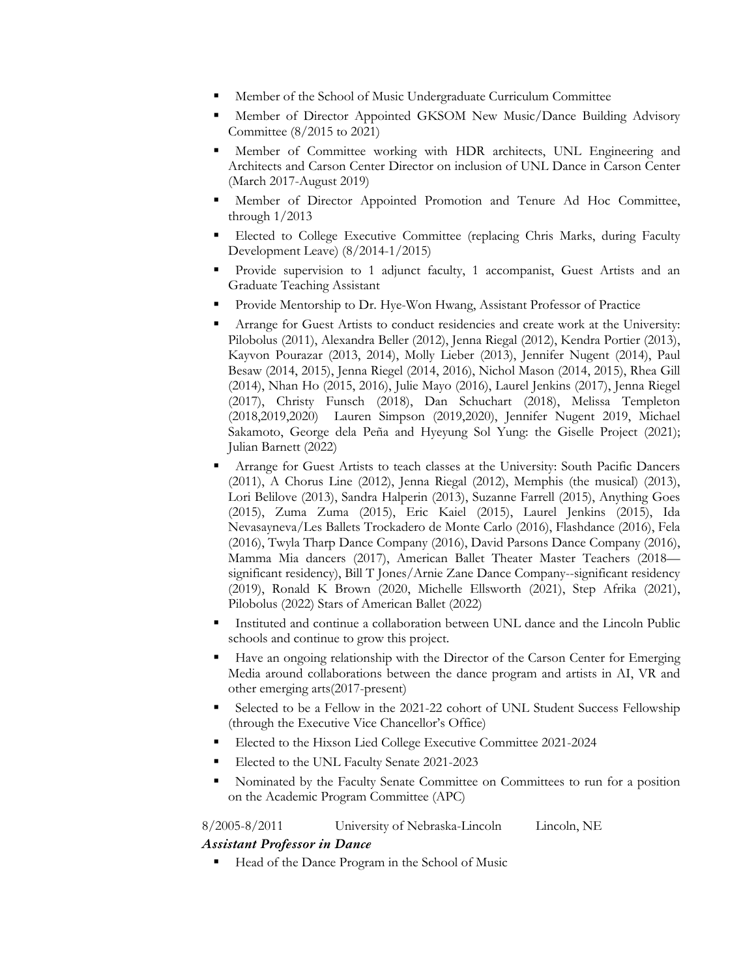- § Member of the School of Music Undergraduate Curriculum Committee
- § Member of Director Appointed GKSOM New Music/Dance Building Advisory Committee (8/2015 to 2021)
- § Member of Committee working with HDR architects, UNL Engineering and Architects and Carson Center Director on inclusion of UNL Dance in Carson Center (March 2017-August 2019)
- Member of Director Appointed Promotion and Tenure Ad Hoc Committee, through 1/2013
- Elected to College Executive Committee (replacing Chris Marks, during Faculty Development Leave) (8/2014-1/2015)
- § Provide supervision to 1 adjunct faculty, 1 accompanist, Guest Artists and an Graduate Teaching Assistant
- Provide Mentorship to Dr. Hye-Won Hwang, Assistant Professor of Practice
- Arrange for Guest Artists to conduct residencies and create work at the University: Pilobolus (2011), Alexandra Beller (2012), Jenna Riegal (2012), Kendra Portier (2013), Kayvon Pourazar (2013, 2014), Molly Lieber (2013), Jennifer Nugent (2014), Paul Besaw (2014, 2015), Jenna Riegel (2014, 2016), Nichol Mason (2014, 2015), Rhea Gill (2014), Nhan Ho (2015, 2016), Julie Mayo (2016), Laurel Jenkins (2017), Jenna Riegel (2017), Christy Funsch (2018), Dan Schuchart (2018), Melissa Templeton (2018,2019,2020) Lauren Simpson (2019,2020), Jennifer Nugent 2019, Michael Sakamoto, George dela Peña and Hyeyung Sol Yung: the Giselle Project (2021); Julian Barnett (2022)
- § Arrange for Guest Artists to teach classes at the University: South Pacific Dancers (2011), A Chorus Line (2012), Jenna Riegal (2012), Memphis (the musical) (2013), Lori Belilove (2013), Sandra Halperin (2013), Suzanne Farrell (2015), Anything Goes (2015), Zuma Zuma (2015), Eric Kaiel (2015), Laurel Jenkins (2015), Ida Nevasayneva/Les Ballets Trockadero de Monte Carlo (2016), Flashdance (2016), Fela (2016), Twyla Tharp Dance Company (2016), David Parsons Dance Company (2016), Mamma Mia dancers (2017), American Ballet Theater Master Teachers (2018 significant residency), Bill T Jones/Arnie Zane Dance Company--significant residency (2019), Ronald K Brown (2020, Michelle Ellsworth (2021), Step Afrika (2021), Pilobolus (2022) Stars of American Ballet (2022)
- Instituted and continue a collaboration between UNL dance and the Lincoln Public schools and continue to grow this project.
- Have an ongoing relationship with the Director of the Carson Center for Emerging Media around collaborations between the dance program and artists in AI, VR and other emerging arts(2017-present)
- § Selected to be a Fellow in the 2021-22 cohort of UNL Student Success Fellowship (through the Executive Vice Chancellor's Office)
- § Elected to the Hixson Lied College Executive Committee 2021-2024
- § Elected to the UNL Faculty Senate 2021-2023
- § Nominated by the Faculty Senate Committee on Committees to run for a position on the Academic Program Committee (APC)

# 8/2005-8/2011 University of Nebraska-Lincoln Lincoln, NE

# *Assistant Professor in Dance*

■ Head of the Dance Program in the School of Music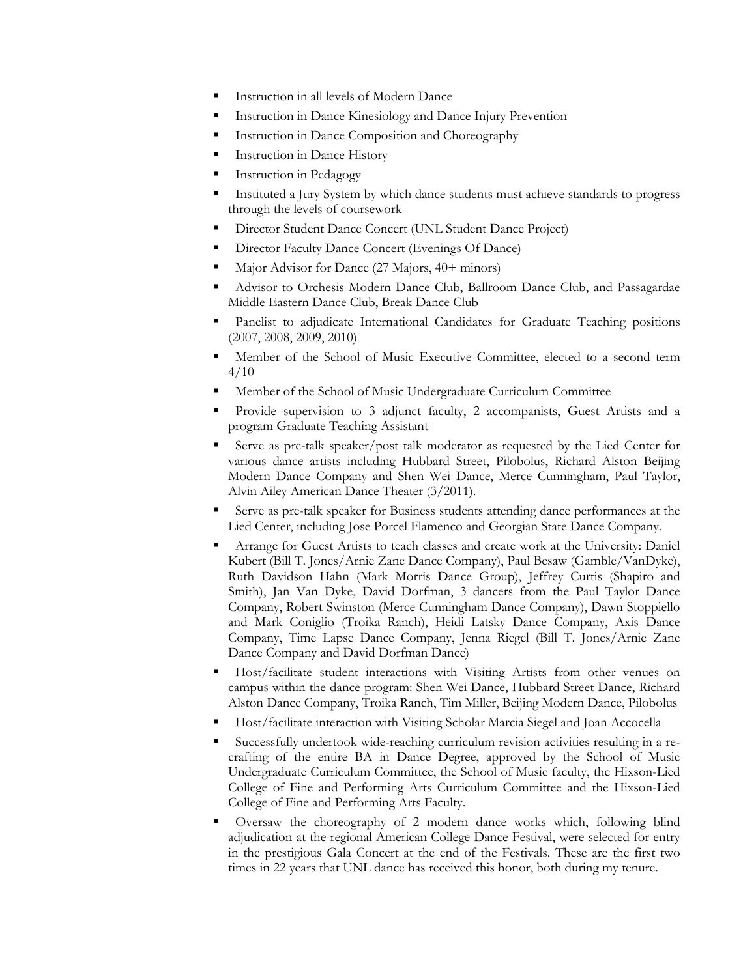- Instruction in all levels of Modern Dance
- Instruction in Dance Kinesiology and Dance Injury Prevention
- Instruction in Dance Composition and Choreography
- Instruction in Dance History
- Instruction in Pedagogy
- Instituted a Jury System by which dance students must achieve standards to progress through the levels of coursework
- § Director Student Dance Concert (UNL Student Dance Project)
- § Director Faculty Dance Concert (Evenings Of Dance)
- Major Advisor for Dance (27 Majors, 40+ minors)
- § Advisor to Orchesis Modern Dance Club, Ballroom Dance Club, and Passagardae Middle Eastern Dance Club, Break Dance Club
- Panelist to adjudicate International Candidates for Graduate Teaching positions (2007, 2008, 2009, 2010)
- § Member of the School of Music Executive Committee, elected to a second term 4/10
- § Member of the School of Music Undergraduate Curriculum Committee
- § Provide supervision to 3 adjunct faculty, 2 accompanists, Guest Artists and a program Graduate Teaching Assistant
- § Serve as pre-talk speaker/post talk moderator as requested by the Lied Center for various dance artists including Hubbard Street, Pilobolus, Richard Alston Beijing Modern Dance Company and Shen Wei Dance, Merce Cunningham, Paul Taylor, Alvin Ailey American Dance Theater (3/2011).
- Serve as pre-talk speaker for Business students attending dance performances at the Lied Center, including Jose Porcel Flamenco and Georgian State Dance Company.
- § Arrange for Guest Artists to teach classes and create work at the University: Daniel Kubert (Bill T. Jones/Arnie Zane Dance Company), Paul Besaw (Gamble/VanDyke), Ruth Davidson Hahn (Mark Morris Dance Group), Jeffrey Curtis (Shapiro and Smith), Jan Van Dyke, David Dorfman, 3 dancers from the Paul Taylor Dance Company, Robert Swinston (Merce Cunningham Dance Company), Dawn Stoppiello and Mark Coniglio (Troika Ranch), Heidi Latsky Dance Company, Axis Dance Company, Time Lapse Dance Company, Jenna Riegel (Bill T. Jones/Arnie Zane Dance Company and David Dorfman Dance)
- § Host/facilitate student interactions with Visiting Artists from other venues on campus within the dance program: Shen Wei Dance, Hubbard Street Dance, Richard Alston Dance Company, Troika Ranch, Tim Miller, Beijing Modern Dance, Pilobolus
- Host/facilitate interaction with Visiting Scholar Marcia Siegel and Joan Accocella
- § Successfully undertook wide-reaching curriculum revision activities resulting in a recrafting of the entire BA in Dance Degree, approved by the School of Music Undergraduate Curriculum Committee, the School of Music faculty, the Hixson-Lied College of Fine and Performing Arts Curriculum Committee and the Hixson-Lied College of Fine and Performing Arts Faculty.
- § Oversaw the choreography of 2 modern dance works which, following blind adjudication at the regional American College Dance Festival, were selected for entry in the prestigious Gala Concert at the end of the Festivals. These are the first two times in 22 years that UNL dance has received this honor, both during my tenure.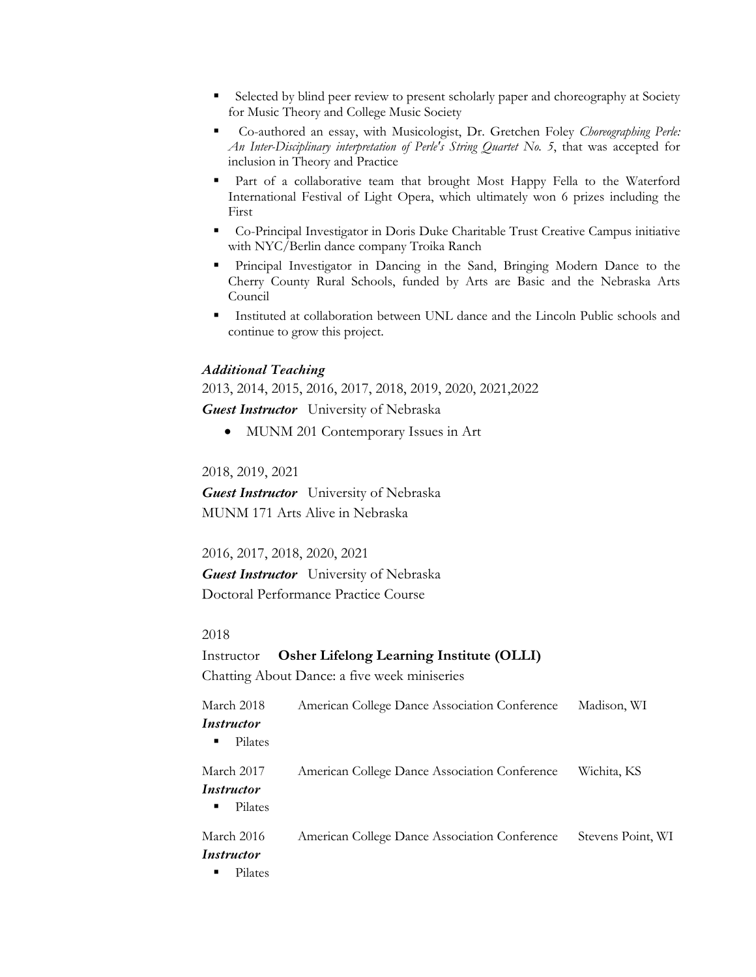- Selected by blind peer review to present scholarly paper and choreography at Society for Music Theory and College Music Society
- § Co-authored an essay, with Musicologist, Dr. Gretchen Foley *Choreographing Perle: An Inter-Disciplinary interpretation of Perle's String Quartet No. 5*, that was accepted for inclusion in Theory and Practice
- Part of a collaborative team that brought Most Happy Fella to the Waterford International Festival of Light Opera, which ultimately won 6 prizes including the First
- § Co-Principal Investigator in Doris Duke Charitable Trust Creative Campus initiative with NYC/Berlin dance company Troika Ranch
- § Principal Investigator in Dancing in the Sand, Bringing Modern Dance to the Cherry County Rural Schools, funded by Arts are Basic and the Nebraska Arts Council
- Instituted at collaboration between UNL dance and the Lincoln Public schools and continue to grow this project.

## *Additional Teaching*

2013, 2014, 2015, 2016, 2017, 2018, 2019, 2020, 2021,2022

*Guest Instructor* University of Nebraska

• MUNM 201 Contemporary Issues in Art

2018, 2019, 2021

*Guest Instructor* University of Nebraska MUNM 171 Arts Alive in Nebraska

2016, 2017, 2018, 2020, 2021

*Guest Instructor* University of Nebraska Doctoral Performance Practice Course

## 2018

# Instructor **Osher Lifelong Learning Institute (OLLI)**

Chatting About Dance: a five week miniseries

| March 2018                                                              | American College Dance Association Conference | Madison, WI       |
|-------------------------------------------------------------------------|-----------------------------------------------|-------------------|
| <i><u><b>Instructor</b></u></i><br>Pilates<br>٠                         |                                               |                   |
| March 2017<br><i><u><b>Instructor</b></u></i><br>Pilates<br>٠           | American College Dance Association Conference | Wichita, KS       |
| March 2016<br><i><u><b>Instructor</b></u></i><br>$\blacksquare$ Dilator | American College Dance Association Conference | Stevens Point, WI |

§ Pilates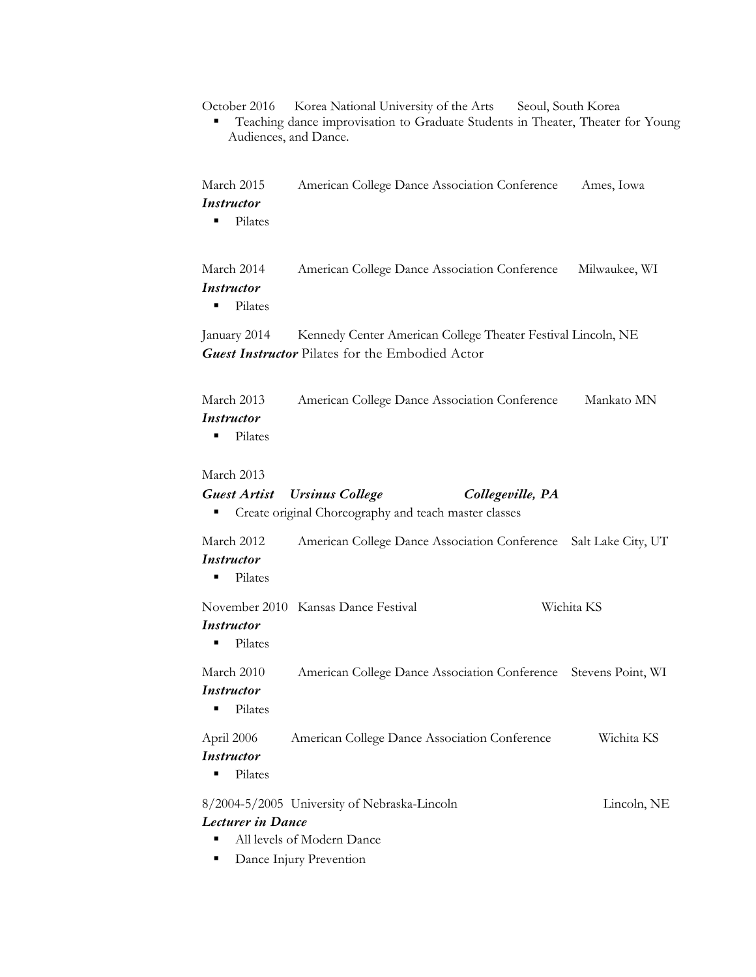October 2016 Korea National University of the Arts Seoul, South Korea

■ Teaching dance improvisation to Graduate Students in Theater, Theater for Young Audiences, and Dance.

| March 2015<br><i>Instructor</i><br>Pilates                          | American College Dance Association Conference                                                                          | Ames, Iowa         |
|---------------------------------------------------------------------|------------------------------------------------------------------------------------------------------------------------|--------------------|
| March 2014<br><i><b>Instructor</b></i><br>Pilates<br>$\blacksquare$ | American College Dance Association Conference                                                                          | Milwaukee, WI      |
| January 2014                                                        | Kennedy Center American College Theater Festival Lincoln, NE<br><b>Guest Instructor Pilates for the Embodied Actor</b> |                    |
| March 2013<br><i>Instructor</i><br>Pilates                          | American College Dance Association Conference                                                                          | Mankato MN         |
| March 2013                                                          |                                                                                                                        |                    |
| <b>Guest Artist</b>                                                 | <b>Ursinus College</b><br>Collegeville, PA                                                                             |                    |
|                                                                     | Create original Choreography and teach master classes                                                                  |                    |
| March 2012<br><i>Instructor</i><br>Pilates                          | American College Dance Association Conference                                                                          | Salt Lake City, UT |
| <b>Instructor</b><br>Pilates                                        | November 2010 Kansas Dance Festival                                                                                    | Wichita KS         |
| March 2010<br><i><u><b>Instructor</b></u></i><br>Pilates            | American College Dance Association Conference Stevens Point, WI                                                        |                    |
| April 2006<br><i>Instructor</i><br>Pilates                          | American College Dance Association Conference                                                                          | Wichita KS         |
| <b>Lecturer</b> in Dance                                            | 8/2004-5/2005 University of Nebraska-Lincoln<br>All levels of Modern Dance                                             | Lincoln, NE        |

■ Dance Injury Prevention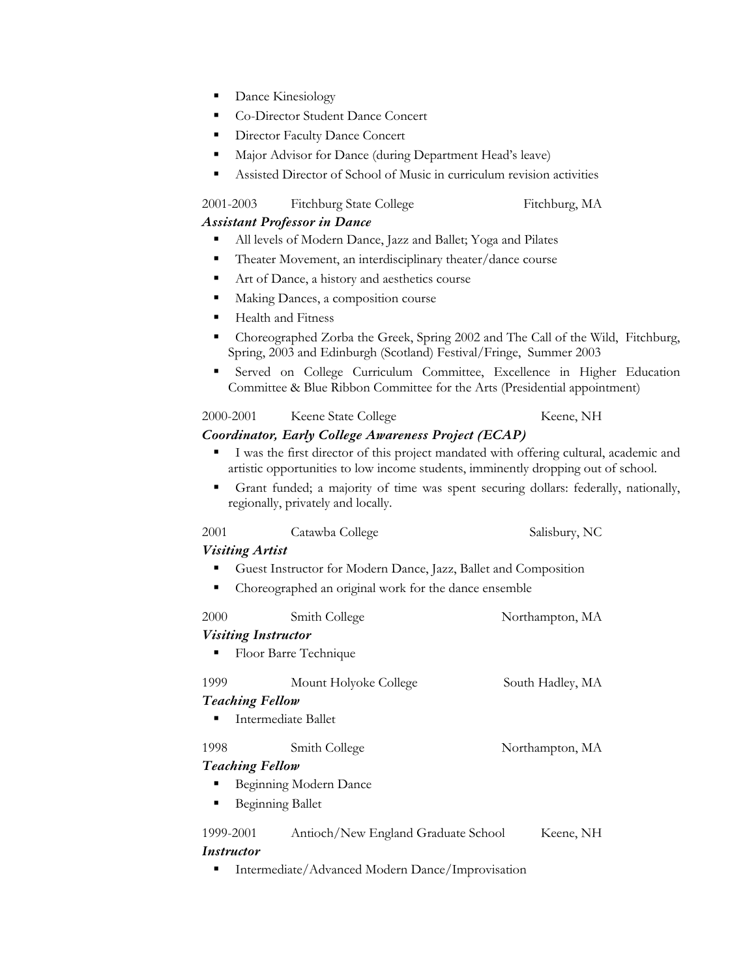- Dance Kinesiology
- Co-Director Student Dance Concert
- Director Faculty Dance Concert
- Major Advisor for Dance (during Department Head's leave)
- Assisted Director of School of Music in curriculum revision activities

# 2001-2003 Fitchburg State College Fitchburg, MA

# *Assistant Professor in Dance*

- All levels of Modern Dance, Jazz and Ballet; Yoga and Pilates ■ Theater Movement, an interdisciplinary theater/dance course
- Art of Dance, a history and aesthetics course
- Making Dances, a composition course
- Health and Fitness
- § Choreographed Zorba the Greek, Spring 2002 and The Call of the Wild, Fitchburg, Spring, 2003 and Edinburgh (Scotland) Festival/Fringe, Summer 2003
- § Served on College Curriculum Committee, Excellence in Higher Education Committee & Blue Ribbon Committee for the Arts (Presidential appointment)

# 2000-2001 Keene State College Keene, NH

# *Coordinator, Early College Awareness Project (ECAP)*

- I was the first director of this project mandated with offering cultural, academic and artistic opportunities to low income students, imminently dropping out of school.
- § Grant funded; a majority of time was spent securing dollars: federally, nationally, regionally, privately and locally.

| 2001 | Catawba College | Salisbury, NC |
|------|-----------------|---------------|
|      |                 |               |

# *Visiting Artist*

- Guest Instructor for Modern Dance, Jazz, Ballet and Composition
- Choreographed an original work for the dance ensemble

| 2000                              | Smith College                       | Northampton, MA  |
|-----------------------------------|-------------------------------------|------------------|
| <i><b>Visiting Instructor</b></i> |                                     |                  |
| ٠                                 | Floor Barre Technique               |                  |
| 1999                              | Mount Holyoke College               | South Hadley, MA |
| <b>Teaching Fellow</b>            |                                     |                  |
| ٠                                 | Intermediate Ballet                 |                  |
| 1998                              | Smith College                       | Northampton, MA  |
| <b>Teaching Fellow</b>            |                                     |                  |
| п                                 | Beginning Modern Dance              |                  |
| п                                 | Beginning Ballet                    |                  |
| 1999-2001                         | Antioch/New England Graduate School | Keene, NH        |
| Instructor                        |                                     |                  |

■ Intermediate/Advanced Modern Dance/Improvisation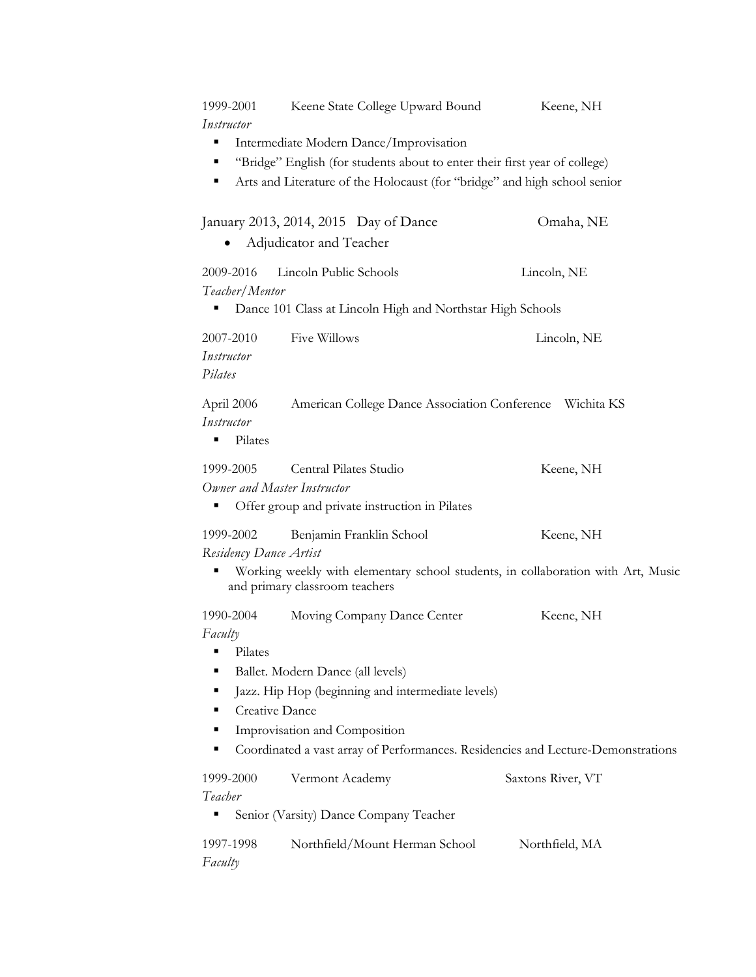| 1999-2001              | Keene State College Upward Bound                                                                                                                        | Keene, NH         |
|------------------------|---------------------------------------------------------------------------------------------------------------------------------------------------------|-------------------|
| Instructor             |                                                                                                                                                         |                   |
| Ξ                      | Intermediate Modern Dance/Improvisation                                                                                                                 |                   |
| п                      | "Bridge" English (for students about to enter their first year of college)<br>Arts and Literature of the Holocaust (for "bridge" and high school senior |                   |
|                        |                                                                                                                                                         |                   |
|                        | January 2013, 2014, 2015 Day of Dance                                                                                                                   | Omaha, NE         |
|                        | Adjudicator and Teacher                                                                                                                                 |                   |
| 2009-2016              | Lincoln Public Schools                                                                                                                                  | Lincoln, NE       |
| Teacher/Mentor         |                                                                                                                                                         |                   |
| п                      | Dance 101 Class at Lincoln High and Northstar High Schools                                                                                              |                   |
| 2007-2010              | <b>Five Willows</b>                                                                                                                                     | Lincoln, NE       |
| Instructor             |                                                                                                                                                         |                   |
| Pilates                |                                                                                                                                                         |                   |
| April 2006             | American College Dance Association Conference Wichita KS                                                                                                |                   |
| Instructor             |                                                                                                                                                         |                   |
| Pilates<br>П           |                                                                                                                                                         |                   |
|                        |                                                                                                                                                         |                   |
| 1999-2005              | Central Pilates Studio                                                                                                                                  | Keene, NH         |
|                        | Owner and Master Instructor                                                                                                                             |                   |
|                        | Offer group and private instruction in Pilates                                                                                                          |                   |
| 1999-2002              | Benjamin Franklin School                                                                                                                                | Keene, NH         |
| Residency Dance Artist |                                                                                                                                                         |                   |
|                        | Working weekly with elementary school students, in collaboration with Art, Music<br>and primary classroom teachers                                      |                   |
| 1990-2004              | Moving Company Dance Center                                                                                                                             | Keene, NH         |
| Faculty                |                                                                                                                                                         |                   |
| Pilates                |                                                                                                                                                         |                   |
| ٠                      | Ballet. Modern Dance (all levels)                                                                                                                       |                   |
| п                      | Jazz. Hip Hop (beginning and intermediate levels)                                                                                                       |                   |
| п                      | Creative Dance                                                                                                                                          |                   |
| ٠                      | Improvisation and Composition                                                                                                                           |                   |
| Ξ                      | Coordinated a vast array of Performances. Residencies and Lecture-Demonstrations                                                                        |                   |
| 1999-2000              | Vermont Academy                                                                                                                                         | Saxtons River, VT |
| Teacher                |                                                                                                                                                         |                   |
|                        | Senior (Varsity) Dance Company Teacher                                                                                                                  |                   |
|                        |                                                                                                                                                         |                   |
| 1997-1998              | Northfield/Mount Herman School                                                                                                                          | Northfield, MA    |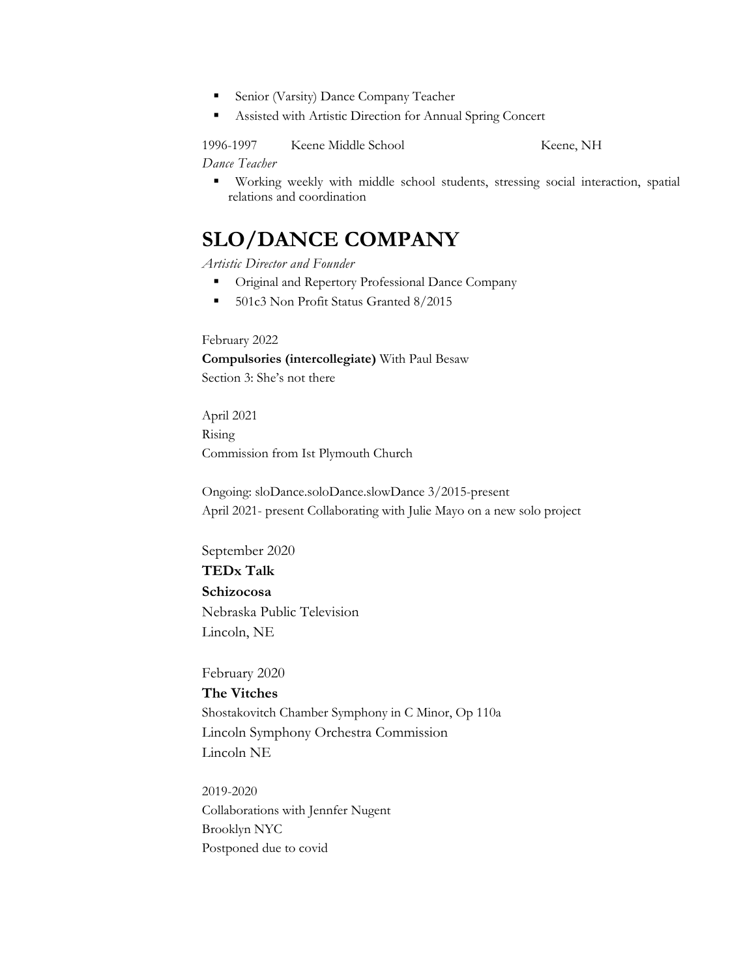- Senior (Varsity) Dance Company Teacher
- Assisted with Artistic Direction for Annual Spring Concert

1996-1997 Keene Middle School Keene, NH *Dance Teacher*

§ Working weekly with middle school students, stressing social interaction, spatial relations and coordination

# **SLO/DANCE COMPANY**

*Artistic Director and Founder*

- § Original and Repertory Professional Dance Company
- 501c3 Non Profit Status Granted 8/2015

February 2022

**Compulsories (intercollegiate)** With Paul Besaw Section 3: She's not there

April 2021 Rising Commission from Ist Plymouth Church

Ongoing: sloDance.soloDance.slowDance 3/2015-present April 2021- present Collaborating with Julie Mayo on a new solo project

September 2020

**TEDx Talk Schizocosa**  Nebraska Public Television Lincoln, NE

February 2020

**The Vitches** Shostakovitch Chamber Symphony in C Minor, Op 110a Lincoln Symphony Orchestra Commission Lincoln NE

2019-2020 Collaborations with Jennfer Nugent Brooklyn NYC Postponed due to covid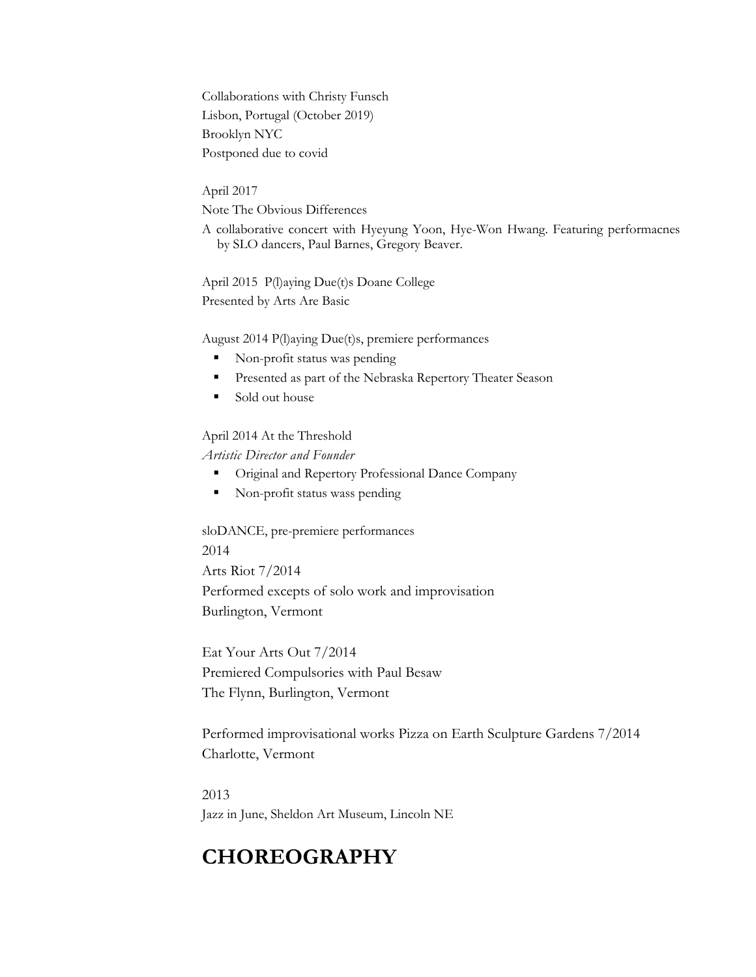Collaborations with Christy Funsch Lisbon, Portugal (October 2019) Brooklyn NYC Postponed due to covid

April 2017 Note The Obvious Differences

A collaborative concert with Hyeyung Yoon, Hye-Won Hwang. Featuring performacnes by SLO dancers, Paul Barnes, Gregory Beaver.

April 2015 P(l)aying Due(t)s Doane College Presented by Arts Are Basic

August 2014 P(l)aying Due(t)s, premiere performances

- Non-profit status was pending
- § Presented as part of the Nebraska Repertory Theater Season
- Sold out house

April 2014 At the Threshold

*Artistic Director and Founder*

- Original and Repertory Professional Dance Company
- Non-profit status wass pending

sloDANCE, pre-premiere performances 2014 Arts Riot 7/2014 Performed excepts of solo work and improvisation Burlington, Vermont

Eat Your Arts Out 7/2014 Premiered Compulsories with Paul Besaw The Flynn, Burlington, Vermont

Performed improvisational works Pizza on Earth Sculpture Gardens 7/2014 Charlotte, Vermont

2013 Jazz in June, Sheldon Art Museum, Lincoln NE

# **CHOREOGRAPHY**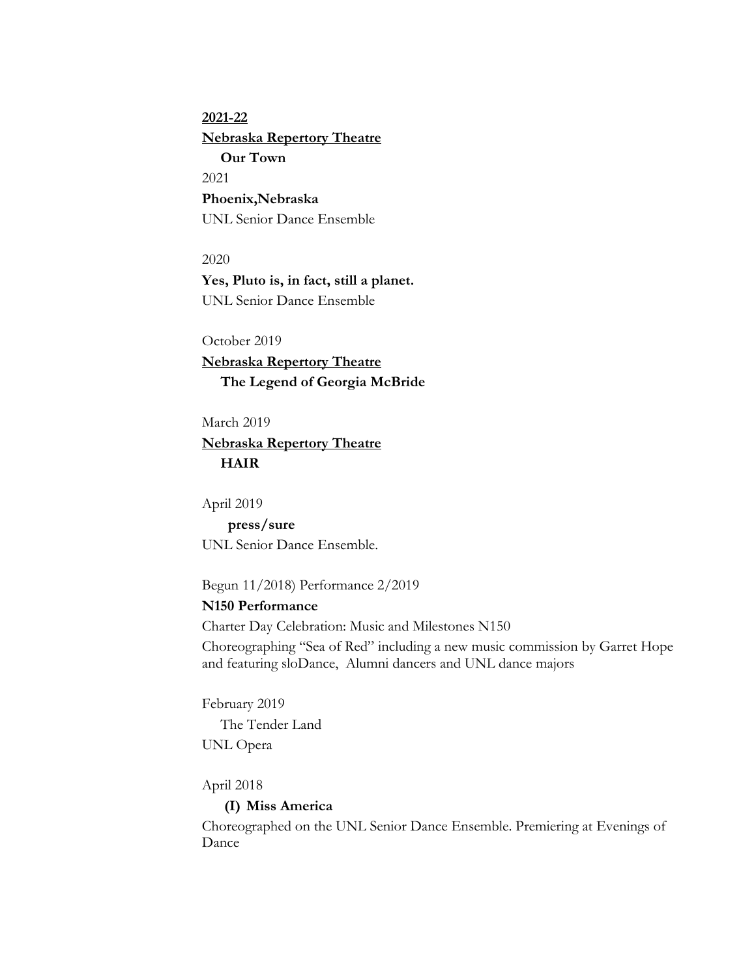**2021-22 Nebraska Repertory Theatre Our Town** 2021 **Phoenix,Nebraska** UNL Senior Dance Ensemble

2020 **Yes, Pluto is, in fact, still a planet.** UNL Senior Dance Ensemble

October 2019 **Nebraska Repertory Theatre The Legend of Georgia McBride**

March 2019 **Nebraska Repertory Theatre HAIR**

April 2019

 **press/sure** UNL Senior Dance Ensemble.

Begun 11/2018) Performance 2/2019

# **N150 Performance**

Charter Day Celebration: Music and Milestones N150

Choreographing "Sea of Red" including a new music commission by Garret Hope and featuring sloDance, Alumni dancers and UNL dance majors

February 2019 The Tender Land UNL Opera

## April 2018

## **(I) Miss America**

Choreographed on the UNL Senior Dance Ensemble. Premiering at Evenings of Dance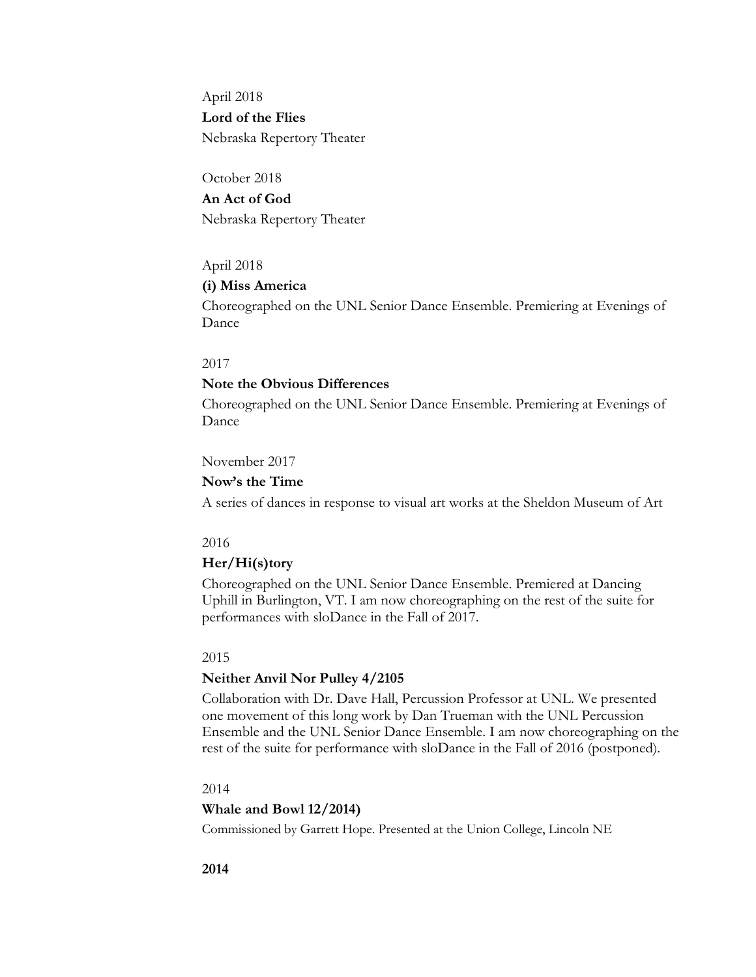April 2018 **Lord of the Flies** Nebraska Repertory Theater

October 2018 **An Act of God** Nebraska Repertory Theater

April 2018

## **(i) Miss America**

Choreographed on the UNL Senior Dance Ensemble. Premiering at Evenings of Dance

#### 2017

## **Note the Obvious Differences**

Choreographed on the UNL Senior Dance Ensemble. Premiering at Evenings of Dance

# November 2017

# **Now's the Time**

A series of dances in response to visual art works at the Sheldon Museum of Art

#### 2016

## **Her/Hi(s)tory**

Choreographed on the UNL Senior Dance Ensemble. Premiered at Dancing Uphill in Burlington, VT. I am now choreographing on the rest of the suite for performances with sloDance in the Fall of 2017.

### 2015

## **Neither Anvil Nor Pulley 4/2105**

Collaboration with Dr. Dave Hall, Percussion Professor at UNL. We presented one movement of this long work by Dan Trueman with the UNL Percussion Ensemble and the UNL Senior Dance Ensemble. I am now choreographing on the rest of the suite for performance with sloDance in the Fall of 2016 (postponed).

## 2014

## **Whale and Bowl 12/2014)**

Commissioned by Garrett Hope. Presented at the Union College, Lincoln NE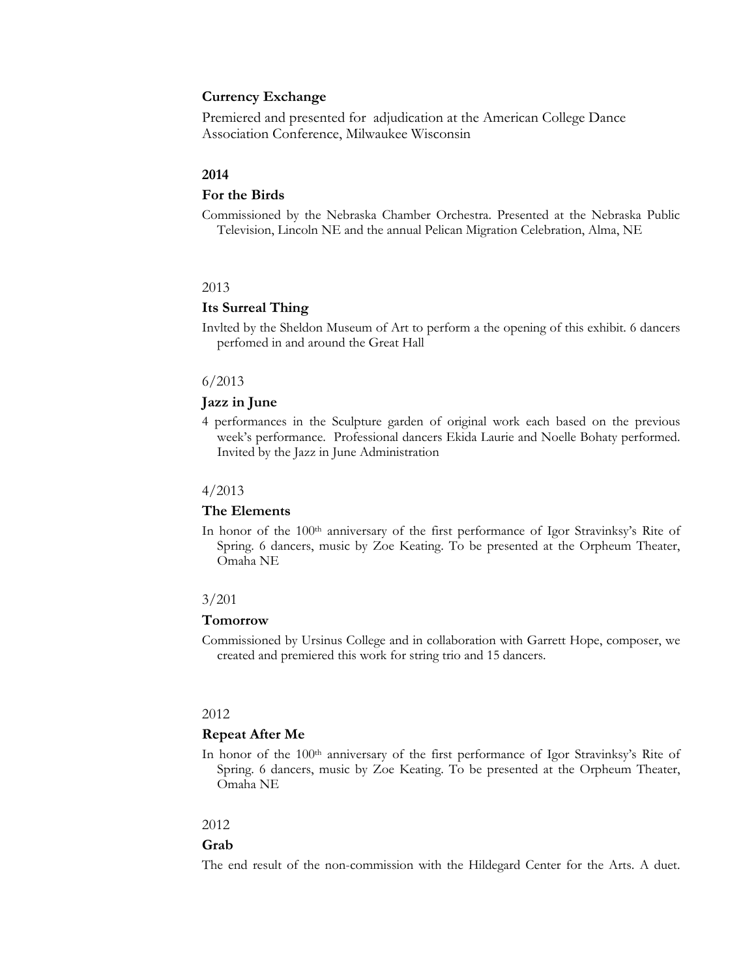## **Currency Exchange**

Premiered and presented for adjudication at the American College Dance Association Conference, Milwaukee Wisconsin

## **2014**

## **For the Birds**

Commissioned by the Nebraska Chamber Orchestra. Presented at the Nebraska Public Television, Lincoln NE and the annual Pelican Migration Celebration, Alma, NE

## 2013

### **Its Surreal Thing**

Invlted by the Sheldon Museum of Art to perform a the opening of this exhibit. 6 dancers perfomed in and around the Great Hall

#### 6/2013

#### **Jazz in June**

4 performances in the Sculpture garden of original work each based on the previous week's performance. Professional dancers Ekida Laurie and Noelle Bohaty performed. Invited by the Jazz in June Administration

#### 4/2013

#### **The Elements**

In honor of the 100th anniversary of the first performance of Igor Stravinksy's Rite of Spring. 6 dancers, music by Zoe Keating. To be presented at the Orpheum Theater, Omaha NE

#### 3/201

## **Tomorrow**

Commissioned by Ursinus College and in collaboration with Garrett Hope, composer, we created and premiered this work for string trio and 15 dancers.

## 2012

#### **Repeat After Me**

In honor of the 100<sup>th</sup> anniversary of the first performance of Igor Stravinksy's Rite of Spring. 6 dancers, music by Zoe Keating. To be presented at the Orpheum Theater, Omaha NE

#### 2012

## **Grab**

The end result of the non-commission with the Hildegard Center for the Arts. A duet.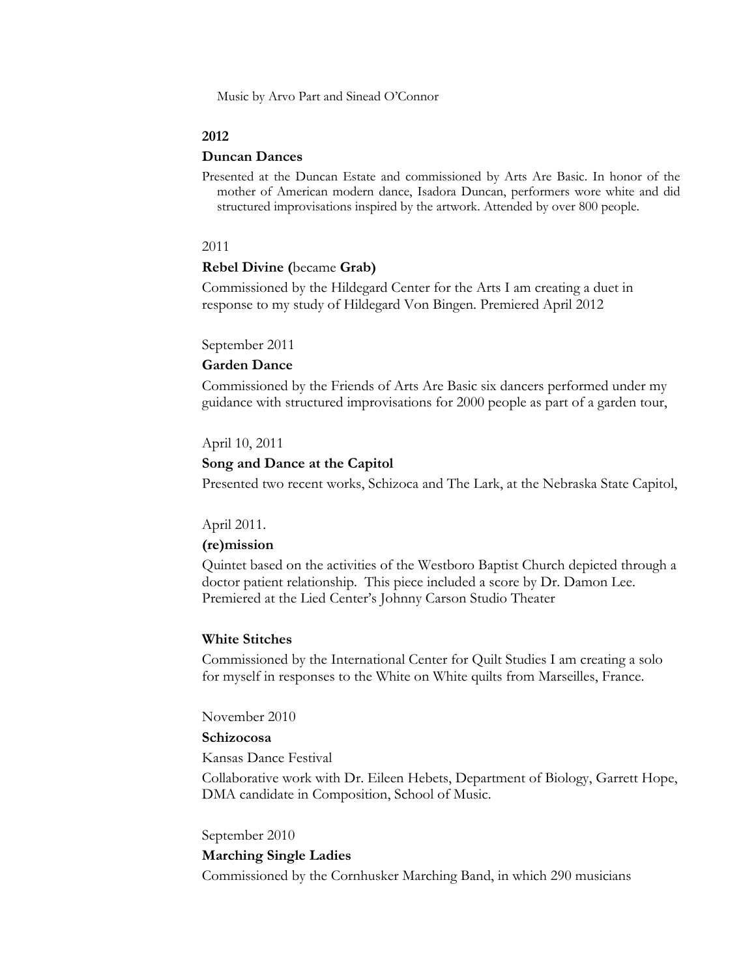Music by Arvo Part and Sinead O'Connor

## **2012**

## **Duncan Dances**

Presented at the Duncan Estate and commissioned by Arts Are Basic. In honor of the mother of American modern dance, Isadora Duncan, performers wore white and did structured improvisations inspired by the artwork. Attended by over 800 people.

## 2011

## **Rebel Divine (**became **Grab)**

Commissioned by the Hildegard Center for the Arts I am creating a duet in response to my study of Hildegard Von Bingen. Premiered April 2012

## September 2011

## **Garden Dance**

Commissioned by the Friends of Arts Are Basic six dancers performed under my guidance with structured improvisations for 2000 people as part of a garden tour,

#### April 10, 2011

## **Song and Dance at the Capitol**

Presented two recent works, Schizoca and The Lark, at the Nebraska State Capitol,

## April 2011.

#### **(re)mission**

Quintet based on the activities of the Westboro Baptist Church depicted through a doctor patient relationship. This piece included a score by Dr. Damon Lee. Premiered at the Lied Center's Johnny Carson Studio Theater

## **White Stitches**

Commissioned by the International Center for Quilt Studies I am creating a solo for myself in responses to the White on White quilts from Marseilles, France.

November 2010

## **Schizocosa**

Kansas Dance Festival

Collaborative work with Dr. Eileen Hebets, Department of Biology, Garrett Hope, DMA candidate in Composition, School of Music.

#### September 2010

#### **Marching Single Ladies**

Commissioned by the Cornhusker Marching Band, in which 290 musicians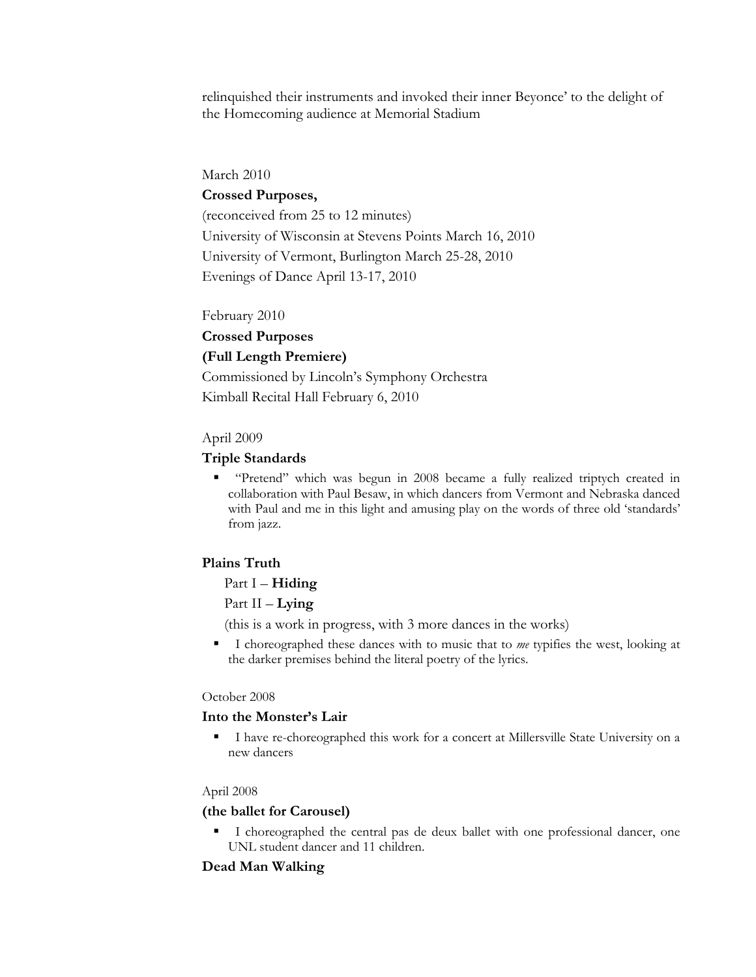relinquished their instruments and invoked their inner Beyonce' to the delight of the Homecoming audience at Memorial Stadium

## March 2010

## **Crossed Purposes,**

(reconceived from 25 to 12 minutes) University of Wisconsin at Stevens Points March 16, 2010 University of Vermont, Burlington March 25-28, 2010 Evenings of Dance April 13-17, 2010

February 2010 **Crossed Purposes (Full Length Premiere)** Commissioned by Lincoln's Symphony Orchestra

Kimball Recital Hall February 6, 2010

## April 2009

## **Triple Standards**

§ "Pretend" which was begun in 2008 became a fully realized triptych created in collaboration with Paul Besaw, in which dancers from Vermont and Nebraska danced with Paul and me in this light and amusing play on the words of three old 'standards' from jazz.

# **Plains Truth**

# Part I – **Hiding**

# Part II – **Lying**

(this is a work in progress, with 3 more dances in the works)

§ I choreographed these dances with to music that to *me* typifies the west, looking at the darker premises behind the literal poetry of the lyrics.

#### October 2008

## **Into the Monster's Lair**

§ I have re-choreographed this work for a concert at Millersville State University on a new dancers

#### April 2008

#### **(the ballet for Carousel)**

§ I choreographed the central pas de deux ballet with one professional dancer, one UNL student dancer and 11 children.

## **Dead Man Walking**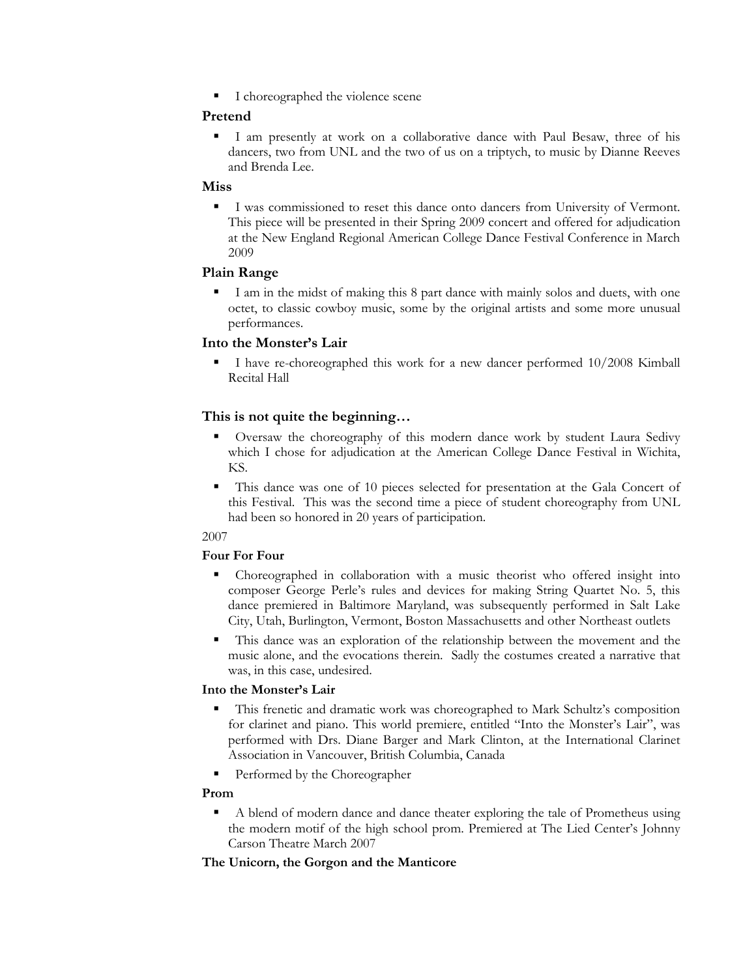■ I choreographed the violence scene

# **Pretend**

I am presently at work on a collaborative dance with Paul Besaw, three of his dancers, two from UNL and the two of us on a triptych, to music by Dianne Reeves and Brenda Lee.

## **Miss**

§ I was commissioned to reset this dance onto dancers from University of Vermont. This piece will be presented in their Spring 2009 concert and offered for adjudication at the New England Regional American College Dance Festival Conference in March 2009

# **Plain Range**

■ I am in the midst of making this 8 part dance with mainly solos and duets, with one octet, to classic cowboy music, some by the original artists and some more unusual performances.

# **Into the Monster's Lair**

§ I have re-choreographed this work for a new dancer performed 10/2008 Kimball Recital Hall

# **This is not quite the beginning…**

- § Oversaw the choreography of this modern dance work by student Laura Sedivy which I chose for adjudication at the American College Dance Festival in Wichita, KS.
- This dance was one of 10 pieces selected for presentation at the Gala Concert of this Festival. This was the second time a piece of student choreography from UNL had been so honored in 20 years of participation.

# 2007

# **Four For Four**

- § Choreographed in collaboration with a music theorist who offered insight into composer George Perle's rules and devices for making String Quartet No. 5, this dance premiered in Baltimore Maryland, was subsequently performed in Salt Lake City, Utah, Burlington, Vermont, Boston Massachusetts and other Northeast outlets
- § This dance was an exploration of the relationship between the movement and the music alone, and the evocations therein. Sadly the costumes created a narrative that was, in this case, undesired.

# **Into the Monster's Lair**

- § This frenetic and dramatic work was choreographed to Mark Schultz's composition for clarinet and piano. This world premiere, entitled "Into the Monster's Lair", was performed with Drs. Diane Barger and Mark Clinton, at the International Clarinet Association in Vancouver, British Columbia, Canada
- Performed by the Choreographer

## **Prom**

§ A blend of modern dance and dance theater exploring the tale of Prometheus using the modern motif of the high school prom. Premiered at The Lied Center's Johnny Carson Theatre March 2007

# **The Unicorn, the Gorgon and the Manticore**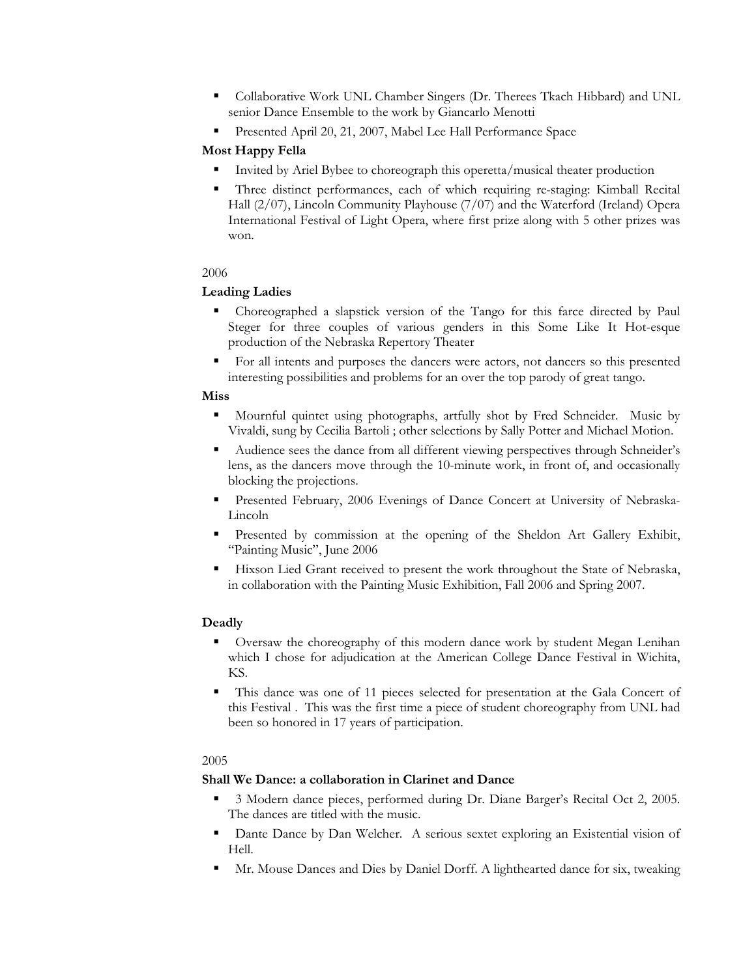- § Collaborative Work UNL Chamber Singers (Dr. Therees Tkach Hibbard) and UNL senior Dance Ensemble to the work by Giancarlo Menotti
- § Presented April 20, 21, 2007, Mabel Lee Hall Performance Space

# **Most Happy Fella**

- Invited by Ariel Bybee to choreograph this operetta/musical theater production
- § Three distinct performances, each of which requiring re-staging: Kimball Recital Hall (2/07), Lincoln Community Playhouse (7/07) and the Waterford (Ireland) Opera International Festival of Light Opera, where first prize along with 5 other prizes was won.

# 2006

# **Leading Ladies**

- § Choreographed a slapstick version of the Tango for this farce directed by Paul Steger for three couples of various genders in this Some Like It Hot-esque production of the Nebraska Repertory Theater
- § For all intents and purposes the dancers were actors, not dancers so this presented interesting possibilities and problems for an over the top parody of great tango.

# **Miss**

- § Mournful quintet using photographs, artfully shot by Fred Schneider. Music by Vivaldi, sung by Cecilia Bartoli ; other selections by Sally Potter and Michael Motion.
- § Audience sees the dance from all different viewing perspectives through Schneider's lens, as the dancers move through the 10-minute work, in front of, and occasionally blocking the projections.
- **•** Presented February, 2006 Evenings of Dance Concert at University of Nebraska-Lincoln
- § Presented by commission at the opening of the Sheldon Art Gallery Exhibit, "Painting Music", June 2006
- Hixson Lied Grant received to present the work throughout the State of Nebraska, in collaboration with the Painting Music Exhibition, Fall 2006 and Spring 2007.

# **Deadly**

- Oversaw the choreography of this modern dance work by student Megan Lenihan which I chose for adjudication at the American College Dance Festival in Wichita, KS.
- This dance was one of 11 pieces selected for presentation at the Gala Concert of this Festival . This was the first time a piece of student choreography from UNL had been so honored in 17 years of participation.

# 2005

# **Shall We Dance: a collaboration in Clarinet and Dance**

- § 3 Modern dance pieces, performed during Dr. Diane Barger's Recital Oct 2, 2005. The dances are titled with the music.
- Dante Dance by Dan Welcher. A serious sextet exploring an Existential vision of Hell.
- Mr. Mouse Dances and Dies by Daniel Dorff. A lighthearted dance for six, tweaking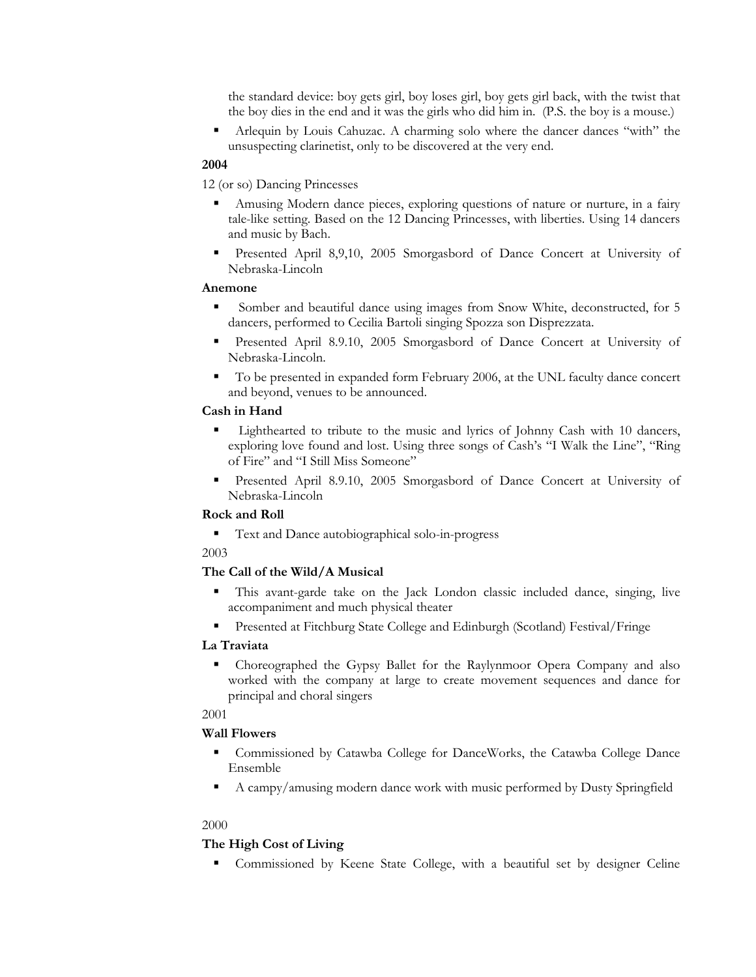the standard device: boy gets girl, boy loses girl, boy gets girl back, with the twist that the boy dies in the end and it was the girls who did him in. (P.S. the boy is a mouse.)

§ Arlequin by Louis Cahuzac. A charming solo where the dancer dances "with" the unsuspecting clarinetist, only to be discovered at the very end.

## **2004**

12 (or so) Dancing Princesses

- Amusing Modern dance pieces, exploring questions of nature or nurture, in a fairy tale-like setting. Based on the 12 Dancing Princesses, with liberties. Using 14 dancers and music by Bach.
- § Presented April 8,9,10, 2005 Smorgasbord of Dance Concert at University of Nebraska-Lincoln

## **Anemone**

- § Somber and beautiful dance using images from Snow White, deconstructed, for 5 dancers, performed to Cecilia Bartoli singing Spozza son Disprezzata.
- § Presented April 8.9.10, 2005 Smorgasbord of Dance Concert at University of Nebraska-Lincoln.
- § To be presented in expanded form February 2006, at the UNL faculty dance concert and beyond, venues to be announced.

## **Cash in Hand**

- Lighthearted to tribute to the music and lyrics of Johnny Cash with 10 dancers, exploring love found and lost. Using three songs of Cash's "I Walk the Line", "Ring of Fire" and "I Still Miss Someone"
- § Presented April 8.9.10, 2005 Smorgasbord of Dance Concert at University of Nebraska-Lincoln

## **Rock and Roll**

■ Text and Dance autobiographical solo-in-progress

#### 2003

## **The Call of the Wild/A Musical**

- This avant-garde take on the Jack London classic included dance, singing, live accompaniment and much physical theater
- Presented at Fitchburg State College and Edinburgh (Scotland) Festival/Fringe

#### **La Traviata**

§ Choreographed the Gypsy Ballet for the Raylynmoor Opera Company and also worked with the company at large to create movement sequences and dance for principal and choral singers

## 2001

## **Wall Flowers**

- § Commissioned by Catawba College for DanceWorks, the Catawba College Dance Ensemble
- A campy/amusing modern dance work with music performed by Dusty Springfield

#### 2000

## **The High Cost of Living**

§ Commissioned by Keene State College, with a beautiful set by designer Celine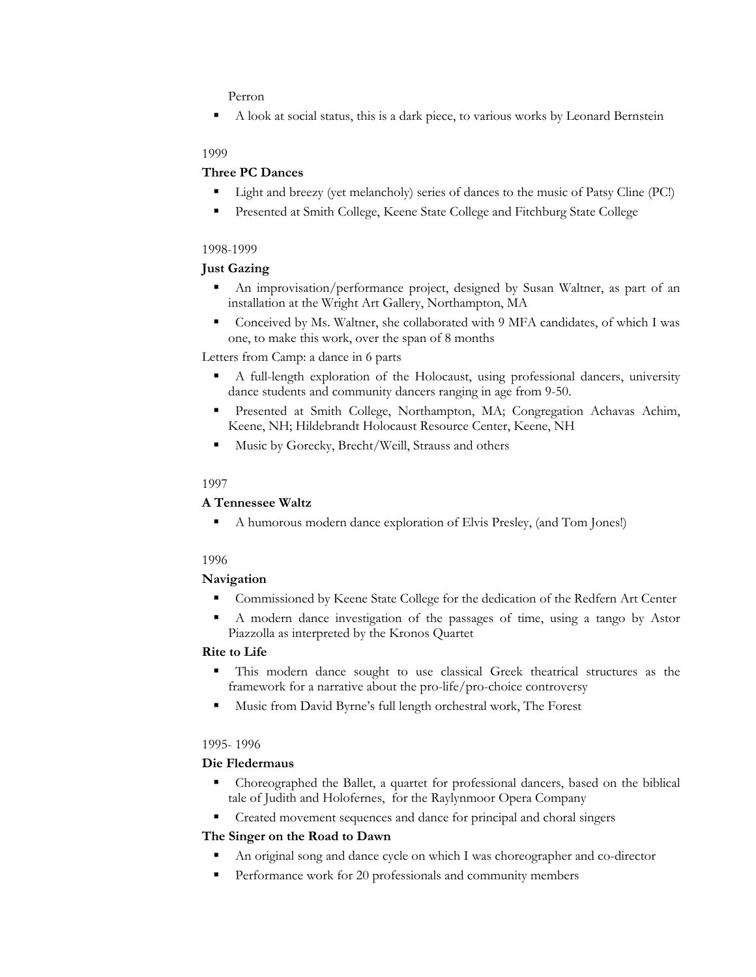Perron

■ A look at social status, this is a dark piece, to various works by Leonard Bernstein

## 1999

# **Three PC Dances**

- Light and breezy (yet melancholy) series of dances to the music of Patsy Cline (PC!)
- Presented at Smith College, Keene State College and Fitchburg State College

## 1998-1999

## **Just Gazing**

- § An improvisation/performance project, designed by Susan Waltner, as part of an installation at the Wright Art Gallery, Northampton, MA
- § Conceived by Ms. Waltner, she collaborated with 9 MFA candidates, of which I was one, to make this work, over the span of 8 months

Letters from Camp: a dance in 6 parts

- § A full-length exploration of the Holocaust, using professional dancers, university dance students and community dancers ranging in age from 9-50.
- § Presented at Smith College, Northampton, MA; Congregation Achavas Achim, Keene, NH; Hildebrandt Holocaust Resource Center, Keene, NH
- § Music by Gorecky, Brecht/Weill, Strauss and others

## 1997

# **A Tennessee Waltz**

■ A humorous modern dance exploration of Elvis Presley, (and Tom Jones!)

## 1996

# **Navigation**

- Commissioned by Keene State College for the dedication of the Redfern Art Center
- § A modern dance investigation of the passages of time, using a tango by Astor Piazzolla as interpreted by the Kronos Quartet

## **Rite to Life**

- § This modern dance sought to use classical Greek theatrical structures as the framework for a narrative about the pro-life/pro-choice controversy
- Music from David Byrne's full length orchestral work, The Forest

## 1995- 1996

# **Die Fledermaus**

- § Choreographed the Ballet, a quartet for professional dancers, based on the biblical tale of Judith and Holofernes, for the Raylynmoor Opera Company
- § Created movement sequences and dance for principal and choral singers

## **The Singer on the Road to Dawn**

- § An original song and dance cycle on which I was choreographer and co-director
- Performance work for 20 professionals and community members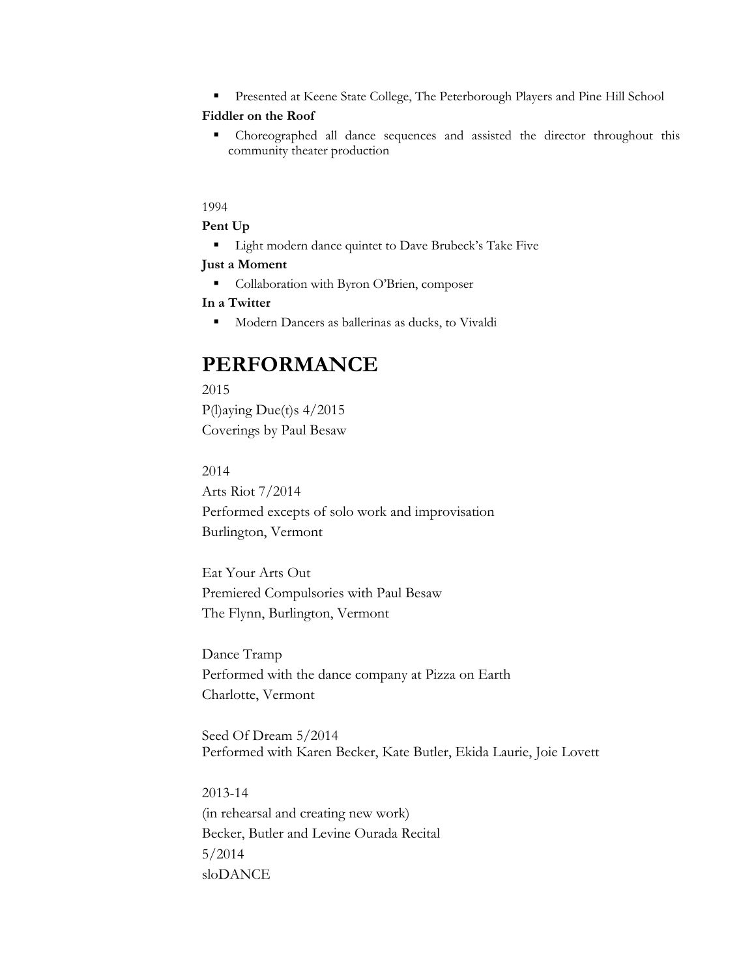§ Presented at Keene State College, The Peterborough Players and Pine Hill School

## **Fiddler on the Roof**

§ Choreographed all dance sequences and assisted the director throughout this community theater production

#### 1994

## **Pent Up**

■ Light modern dance quintet to Dave Brubeck's Take Five

## **Just a Moment**

§ Collaboration with Byron O'Brien, composer

## **In a Twitter**

■ Modern Dancers as ballerinas as ducks, to Vivaldi

# **PERFORMANCE**

# 2015

P(l)aying Due(t)s 4/2015 Coverings by Paul Besaw

## 2014

Arts Riot 7/2014 Performed excepts of solo work and improvisation Burlington, Vermont

Eat Your Arts Out Premiered Compulsories with Paul Besaw The Flynn, Burlington, Vermont

Dance Tramp Performed with the dance company at Pizza on Earth Charlotte, Vermont

Seed Of Dream 5/2014 Performed with Karen Becker, Kate Butler, Ekida Laurie, Joie Lovett

2013-14 (in rehearsal and creating new work) Becker, Butler and Levine Ourada Recital 5/2014 sloDANCE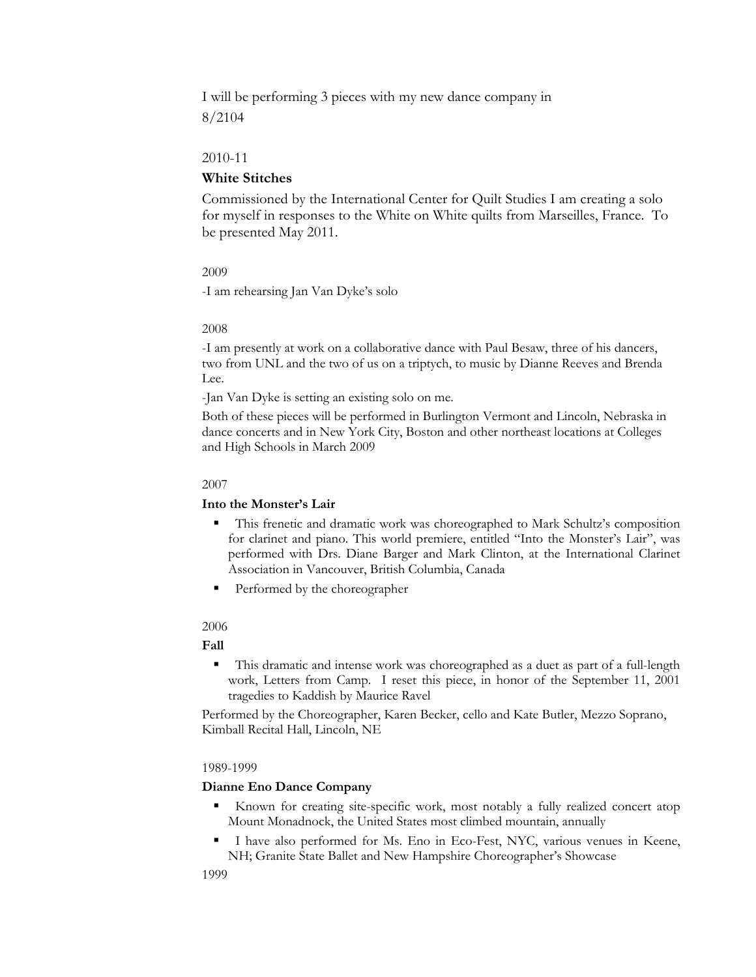I will be performing 3 pieces with my new dance company in 8/2104

#### 2010-11

## **White Stitches**

Commissioned by the International Center for Quilt Studies I am creating a solo for myself in responses to the White on White quilts from Marseilles, France. To be presented May 2011.

#### 2009

-I am rehearsing Jan Van Dyke's solo

#### 2008

-I am presently at work on a collaborative dance with Paul Besaw, three of his dancers, two from UNL and the two of us on a triptych, to music by Dianne Reeves and Brenda Lee.

-Jan Van Dyke is setting an existing solo on me.

Both of these pieces will be performed in Burlington Vermont and Lincoln, Nebraska in dance concerts and in New York City, Boston and other northeast locations at Colleges and High Schools in March 2009

#### 2007

#### **Into the Monster's Lair**

- This frenetic and dramatic work was choreographed to Mark Schultz's composition for clarinet and piano. This world premiere, entitled "Into the Monster's Lair", was performed with Drs. Diane Barger and Mark Clinton, at the International Clarinet Association in Vancouver, British Columbia, Canada
- § Performed by the choreographer

## 2006

### **Fall**

■ This dramatic and intense work was choreographed as a duet as part of a full-length work, Letters from Camp. I reset this piece, in honor of the September 11, 2001 tragedies to Kaddish by Maurice Ravel

Performed by the Choreographer, Karen Becker, cello and Kate Butler, Mezzo Soprano, Kimball Recital Hall, Lincoln, NE

#### 1989-1999

## **Dianne Eno Dance Company**

- Known for creating site-specific work, most notably a fully realized concert atop Mount Monadnock, the United States most climbed mountain, annually
- I have also performed for Ms. Eno in Eco-Fest, NYC, various venues in Keene, NH; Granite State Ballet and New Hampshire Choreographer's Showcase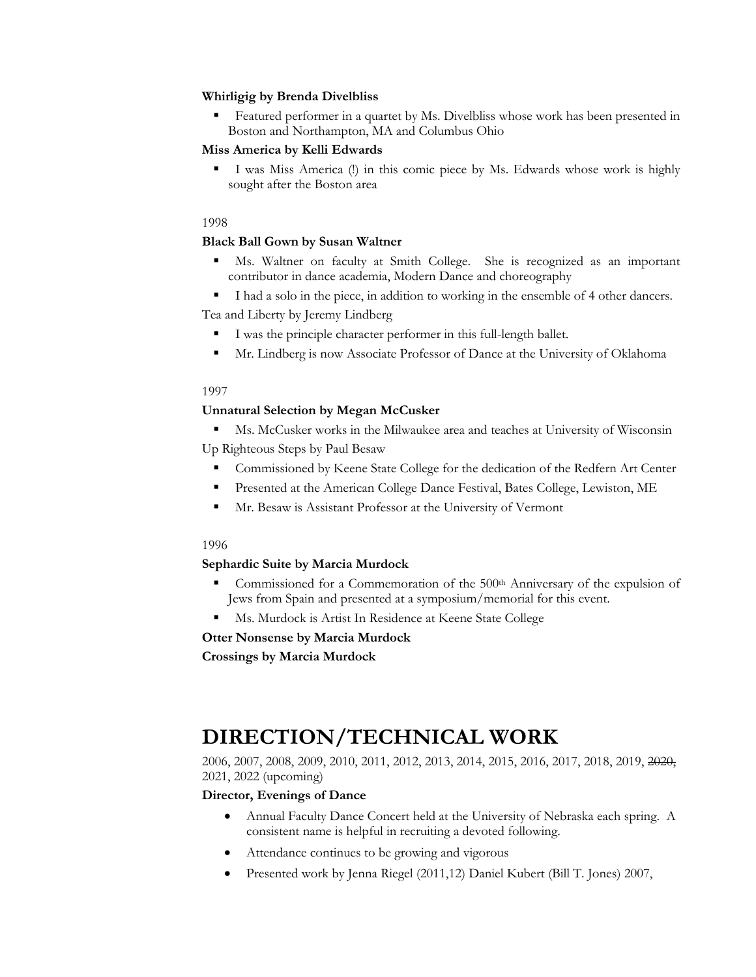# **Whirligig by Brenda Divelbliss**

Featured performer in a quartet by Ms. Divelbliss whose work has been presented in Boston and Northampton, MA and Columbus Ohio

## **Miss America by Kelli Edwards**

I was Miss America (!) in this comic piece by Ms. Edwards whose work is highly sought after the Boston area

## 1998

## **Black Ball Gown by Susan Waltner**

- § Ms. Waltner on faculty at Smith College. She is recognized as an important contributor in dance academia, Modern Dance and choreography
- I had a solo in the piece, in addition to working in the ensemble of 4 other dancers.

Tea and Liberty by Jeremy Lindberg

- § I was the principle character performer in this full-length ballet.
- Mr. Lindberg is now Associate Professor of Dance at the University of Oklahoma

## 1997

## **Unnatural Selection by Megan McCusker**

§ Ms. McCusker works in the Milwaukee area and teaches at University of Wisconsin

Up Righteous Steps by Paul Besaw

- Commissioned by Keene State College for the dedication of the Redfern Art Center
- **Presented at the American College Dance Festival, Bates College, Lewiston, ME**
- Mr. Besaw is Assistant Professor at the University of Vermont

## 1996

## **Sephardic Suite by Marcia Murdock**

- Commissioned for a Commemoration of the 500th Anniversary of the expulsion of Jews from Spain and presented at a symposium/memorial for this event.
- Ms. Murdock is Artist In Residence at Keene State College

**Otter Nonsense by Marcia Murdock**

**Crossings by Marcia Murdock**

# **DIRECTION/TECHNICAL WORK**

2006, 2007, 2008, 2009, 2010, 2011, 2012, 2013, 2014, 2015, 2016, 2017, 2018, 2019, 2020, 2021, 2022 (upcoming)

## **Director, Evenings of Dance**

- Annual Faculty Dance Concert held at the University of Nebraska each spring. A consistent name is helpful in recruiting a devoted following.
- Attendance continues to be growing and vigorous
- Presented work by Jenna Riegel (2011,12) Daniel Kubert (Bill T. Jones) 2007,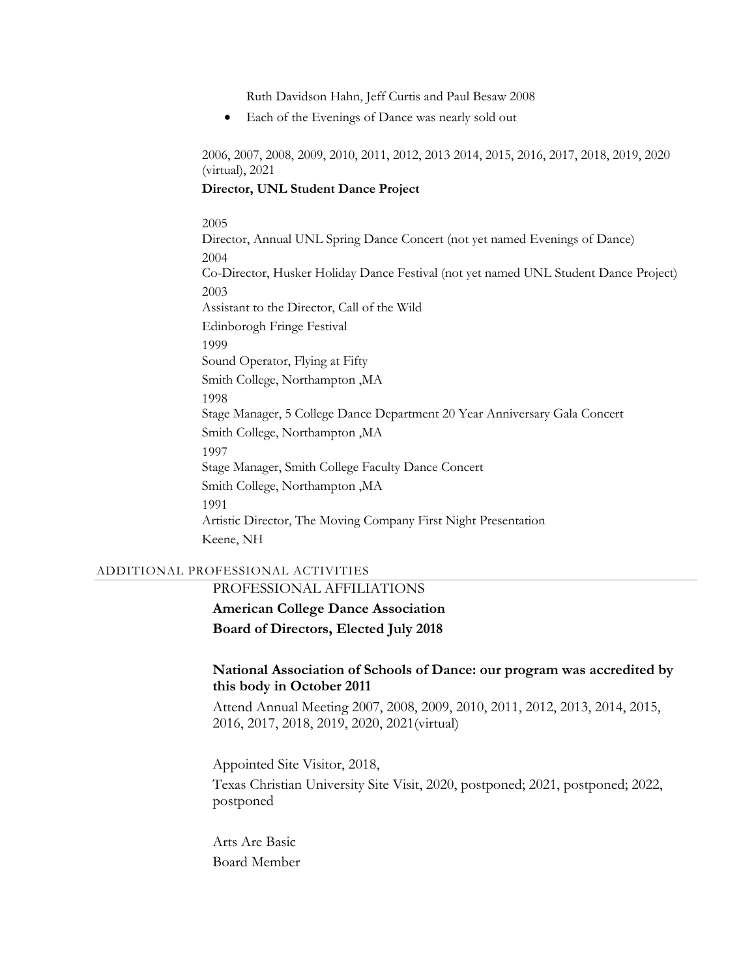Ruth Davidson Hahn, Jeff Curtis and Paul Besaw 2008

• Each of the Evenings of Dance was nearly sold out

2006, 2007, 2008, 2009, 2010, 2011, 2012, 2013 2014, 2015, 2016, 2017, 2018, 2019, 2020 (virtual), 2021

## **Director, UNL Student Dance Project**

2005 Director, Annual UNL Spring Dance Concert (not yet named Evenings of Dance) 2004 Co-Director, Husker Holiday Dance Festival (not yet named UNL Student Dance Project) 2003 Assistant to the Director, Call of the Wild Edinborogh Fringe Festival 1999 Sound Operator, Flying at Fifty Smith College, Northampton ,MA 1998 Stage Manager, 5 College Dance Department 20 Year Anniversary Gala Concert Smith College, Northampton ,MA 1997 Stage Manager, Smith College Faculty Dance Concert Smith College, Northampton ,MA 1991 Artistic Director, The Moving Company First Night Presentation Keene, NH

## ADDITIONAL PROFESSIONAL ACTIVITIES

# PROFESSIONAL AFFILIATIONS

**American College Dance Association**

**Board of Directors, Elected July 2018**

# **National Association of Schools of Dance: our program was accredited by this body in October 2011**

Attend Annual Meeting 2007, 2008, 2009, 2010, 2011, 2012, 2013, 2014, 2015, 2016, 2017, 2018, 2019, 2020, 2021(virtual)

Appointed Site Visitor, 2018, Texas Christian University Site Visit, 2020, postponed; 2021, postponed; 2022, postponed

Arts Are Basic Board Member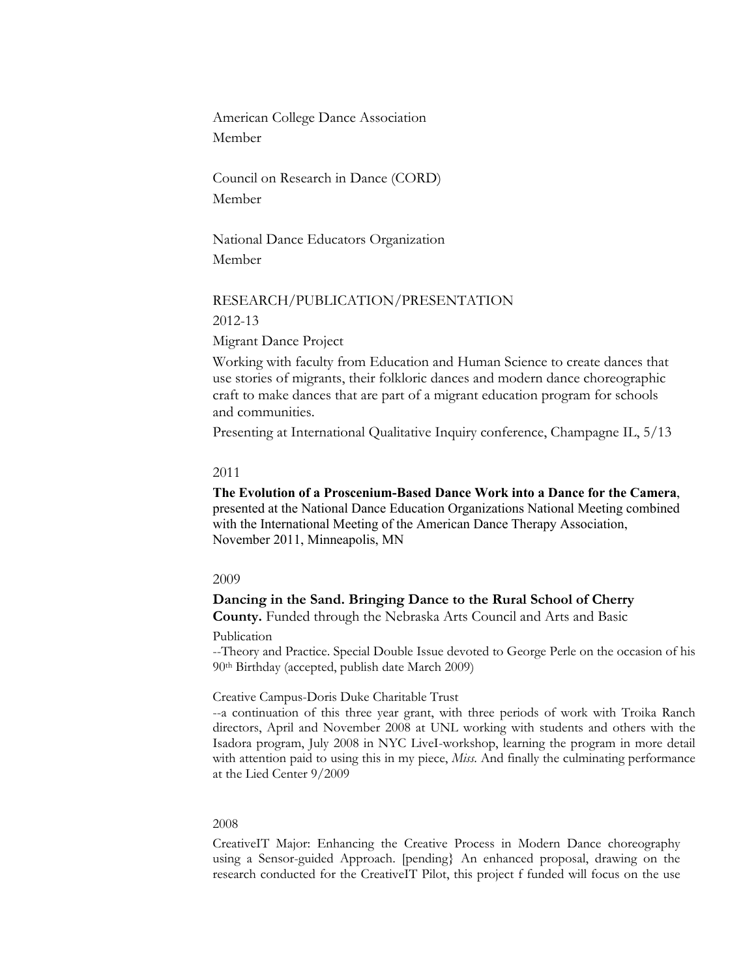American College Dance Association Member

Council on Research in Dance (CORD) Member

National Dance Educators Organization Member

## RESEARCH/PUBLICATION/PRESENTATION

2012-13

Migrant Dance Project

Working with faculty from Education and Human Science to create dances that use stories of migrants, their folkloric dances and modern dance choreographic craft to make dances that are part of a migrant education program for schools and communities.

Presenting at International Qualitative Inquiry conference, Champagne IL, 5/13

#### 2011

**The Evolution of a Proscenium-Based Dance Work into a Dance for the Camera**, presented at the National Dance Education Organizations National Meeting combined with the International Meeting of the American Dance Therapy Association, November 2011, Minneapolis, MN

#### 2009

# **Dancing in the Sand. Bringing Dance to the Rural School of Cherry**

**County.** Funded through the Nebraska Arts Council and Arts and Basic

Publication

--Theory and Practice. Special Double Issue devoted to George Perle on the occasion of his 90th Birthday (accepted, publish date March 2009)

## Creative Campus-Doris Duke Charitable Trust

--a continuation of this three year grant, with three periods of work with Troika Ranch directors, April and November 2008 at UNL working with students and others with the Isadora program, July 2008 in NYC LiveI-workshop, learning the program in more detail with attention paid to using this in my piece, *Miss*. And finally the culminating performance at the Lied Center 9/2009

#### 2008

CreativeIT Major: Enhancing the Creative Process in Modern Dance choreography using a Sensor-guided Approach. [pending} An enhanced proposal, drawing on the research conducted for the CreativeIT Pilot, this project f funded will focus on the use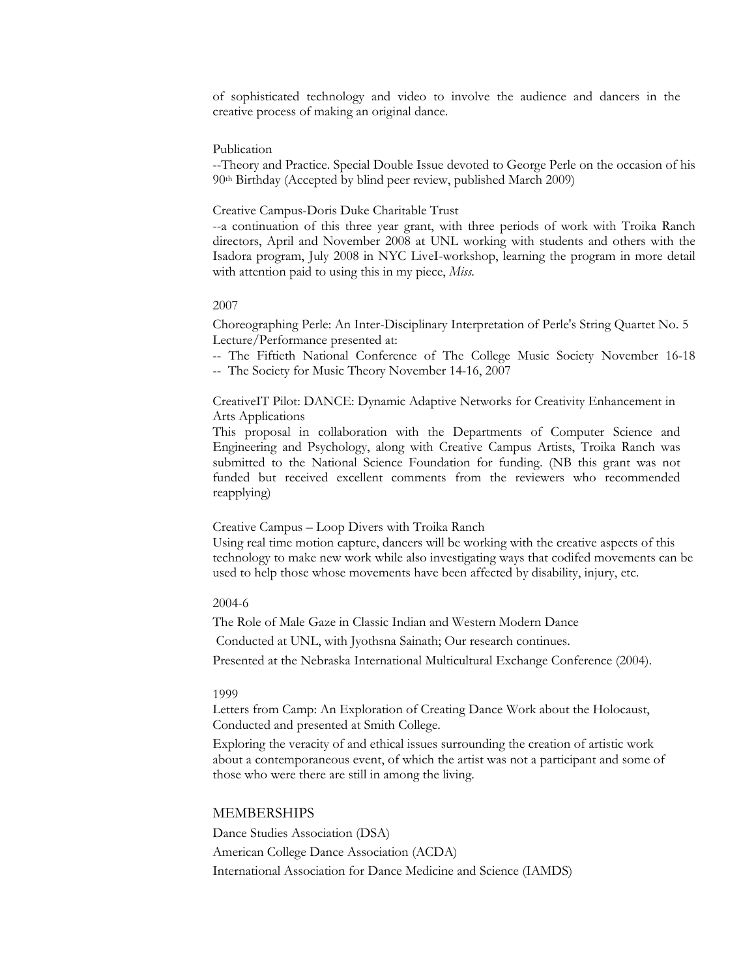of sophisticated technology and video to involve the audience and dancers in the creative process of making an original dance.

#### Publication

--Theory and Practice. Special Double Issue devoted to George Perle on the occasion of his 90th Birthday (Accepted by blind peer review, published March 2009)

#### Creative Campus-Doris Duke Charitable Trust

--a continuation of this three year grant, with three periods of work with Troika Ranch directors, April and November 2008 at UNL working with students and others with the Isadora program, July 2008 in NYC LiveI-workshop, learning the program in more detail with attention paid to using this in my piece, *Miss*.

#### 2007

Choreographing Perle: An Inter-Disciplinary Interpretation of Perle's String Quartet No. 5 Lecture/Performance presented at:

-- The Fiftieth National Conference of The College Music Society November 16-18 -- The Society for Music Theory November 14-16, 2007

CreativeIT Pilot: DANCE: Dynamic Adaptive Networks for Creativity Enhancement in Arts Applications

This proposal in collaboration with the Departments of Computer Science and Engineering and Psychology, along with Creative Campus Artists, Troika Ranch was submitted to the National Science Foundation for funding. (NB this grant was not funded but received excellent comments from the reviewers who recommended reapplying)

Creative Campus – Loop Divers with Troika Ranch

Using real time motion capture, dancers will be working with the creative aspects of this technology to make new work while also investigating ways that codifed movements can be used to help those whose movements have been affected by disability, injury, etc.

## 2004-6

The Role of Male Gaze in Classic Indian and Western Modern Dance

Conducted at UNL, with Jyothsna Sainath; Our research continues.

Presented at the Nebraska International Multicultural Exchange Conference (2004).

#### 1999

Letters from Camp: An Exploration of Creating Dance Work about the Holocaust, Conducted and presented at Smith College.

Exploring the veracity of and ethical issues surrounding the creation of artistic work about a contemporaneous event, of which the artist was not a participant and some of those who were there are still in among the living.

#### MEMBERSHIPS

Dance Studies Association (DSA) American College Dance Association (ACDA) International Association for Dance Medicine and Science (IAMDS)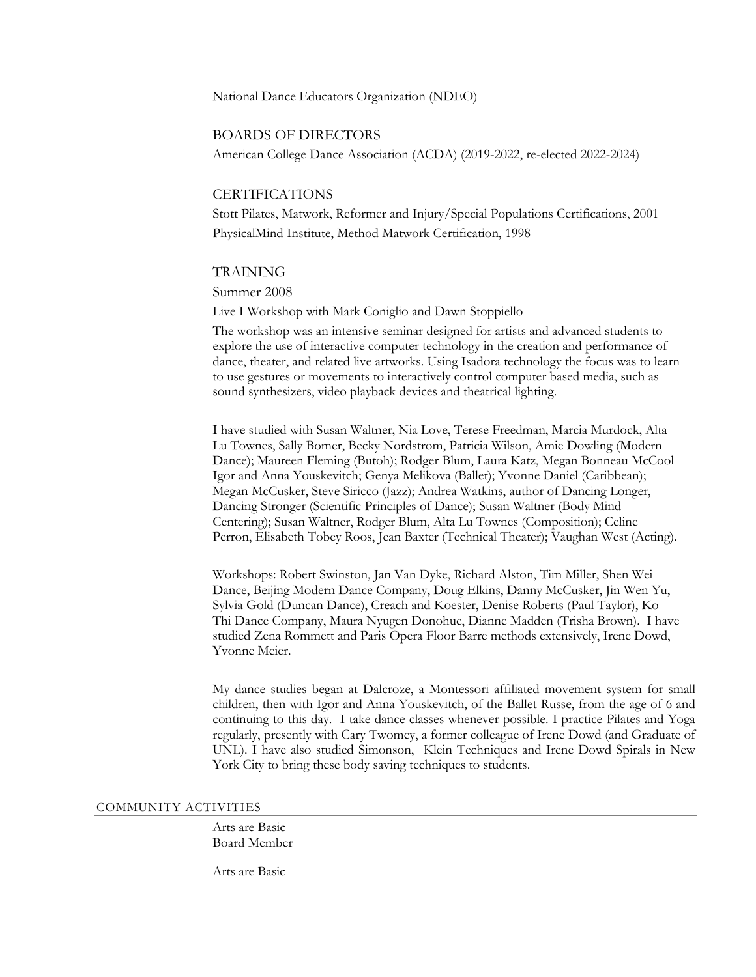National Dance Educators Organization (NDEO)

#### BOARDS OF DIRECTORS

American College Dance Association (ACDA) (2019-2022, re-elected 2022-2024)

#### CERTIFICATIONS

Stott Pilates, Matwork, Reformer and Injury/Special Populations Certifications, 2001 PhysicalMind Institute, Method Matwork Certification, 1998

#### TRAINING

Summer 2008

Live I Workshop with Mark Coniglio and Dawn Stoppiello

The workshop was an intensive seminar designed for artists and advanced students to explore the use of interactive computer technology in the creation and performance of dance, theater, and related live artworks. Using Isadora technology the focus was to learn to use gestures or movements to interactively control computer based media, such as sound synthesizers, video playback devices and theatrical lighting.

I have studied with Susan Waltner, Nia Love, Terese Freedman, Marcia Murdock, Alta Lu Townes, Sally Bomer, Becky Nordstrom, Patricia Wilson, Amie Dowling (Modern Dance); Maureen Fleming (Butoh); Rodger Blum, Laura Katz, Megan Bonneau McCool Igor and Anna Youskevitch; Genya Melikova (Ballet); Yvonne Daniel (Caribbean); Megan McCusker, Steve Siricco (Jazz); Andrea Watkins, author of Dancing Longer, Dancing Stronger (Scientific Principles of Dance); Susan Waltner (Body Mind Centering); Susan Waltner, Rodger Blum, Alta Lu Townes (Composition); Celine Perron, Elisabeth Tobey Roos, Jean Baxter (Technical Theater); Vaughan West (Acting).

Workshops: Robert Swinston, Jan Van Dyke, Richard Alston, Tim Miller, Shen Wei Dance, Beijing Modern Dance Company, Doug Elkins, Danny McCusker, Jin Wen Yu, Sylvia Gold (Duncan Dance), Creach and Koester, Denise Roberts (Paul Taylor), Ko Thi Dance Company, Maura Nyugen Donohue, Dianne Madden (Trisha Brown). I have studied Zena Rommett and Paris Opera Floor Barre methods extensively, Irene Dowd, Yvonne Meier.

My dance studies began at Dalcroze, a Montessori affiliated movement system for small children, then with Igor and Anna Youskevitch, of the Ballet Russe, from the age of 6 and continuing to this day. I take dance classes whenever possible. I practice Pilates and Yoga regularly, presently with Cary Twomey, a former colleague of Irene Dowd (and Graduate of UNL). I have also studied Simonson, Klein Techniques and Irene Dowd Spirals in New York City to bring these body saving techniques to students.

#### COMMUNITY ACTIVITIES

Arts are Basic Board Member

Arts are Basic